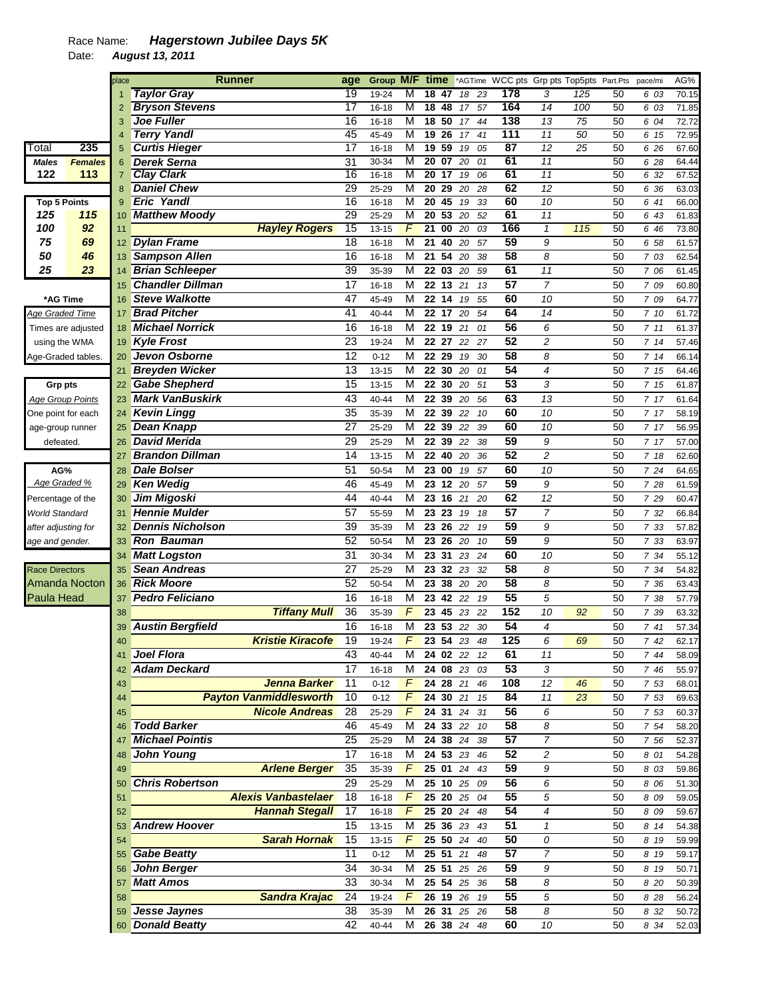## Race Name: *Hagerstown Jubilee Days 5K*

Date: *August 13, 2011* 

|                         |                      | place          |                         | <b>Runner</b>                 | age             | <b>Group</b> | M/F time       |                 |                 |                                     |      | *AGTime WCC pts Grp pts Top5pts Part.Pts |                                |     |    | pace/mi | AG%            |
|-------------------------|----------------------|----------------|-------------------------|-------------------------------|-----------------|--------------|----------------|-----------------|-----------------|-------------------------------------|------|------------------------------------------|--------------------------------|-----|----|---------|----------------|
|                         |                      |                | <b>Taylor Gray</b>      |                               | 19              | 19-24        | М              | 18              | 47              | 18                                  | 23   | 178                                      | 3                              | 125 | 50 | 6 03    | 70.15          |
|                         |                      | $\overline{2}$ | <b>Bryson Stevens</b>   |                               | $\overline{17}$ | 16-18        | М              | $\overline{18}$ | 48              | 17                                  | 57   | 164                                      | $\overline{14}$                | 100 | 50 | 6 03    | 71.85          |
|                         |                      |                | <b>Joe Fuller</b>       |                               | $\overline{16}$ | $16 - 18$    | M              |                 | 18, 50          | 17                                  | 44   | 138                                      | 13                             | 75  | 50 | 6 04    | 72.72          |
|                         |                      |                | <b>Terry Yandl</b>      |                               | 45              | 45-49        | M              | 19              | $\overline{26}$ | 17                                  | 41   | 111                                      | 11                             | 50  | 50 | 6 15    | 72.95          |
| Total                   | 235                  | 5              | <b>Curtis Hieger</b>    |                               | 17              | 16-18        | M              | 19              | 59              | 19                                  | 05   | 87                                       | $\overline{12}$                | 25  | 50 | 6 26    | 67.60          |
| <b>Males</b>            | <b>Females</b>       | 6              | <b>Derek Serna</b>      |                               | 31              | 30-34        | M              | $\overline{20}$ | $\overline{07}$ | 20                                  | 01   | 61                                       | 11                             |     | 50 | 6 28    | 64.44          |
| 122                     | 113                  |                | <b>Clay Clark</b>       |                               | $\overline{16}$ | 16-18        | M              |                 | 20 17           | 19                                  | 06   | 61                                       | 11                             |     | 50 | 6 32    | 67.52          |
|                         |                      | 8              | <b>Daniel Chew</b>      |                               | 29              | 25-29        | M              | $\overline{20}$ | $\overline{29}$ | 20                                  | 28   | 62                                       | 12                             |     | 50 | 6 36    | 63.03          |
| <b>Top 5 Points</b>     |                      | 9              | <b>Eric Yandl</b>       |                               | $\overline{16}$ | 16-18        | M              | $\overline{20}$ | 45              | 19                                  | 33   | 60                                       | 10                             |     | 50 | 6 41    | 66.00          |
| 125                     | 115                  | 10             | <b>Matthew Moody</b>    |                               | 29              | 25-29        | M              | 20              | 53              | 20                                  | 52   | 61                                       | 11                             |     | 50 | 6 43    | 61.83          |
| 100                     | 92                   | 11             |                         | <b>Hayley Rogers</b>          | 15              | $13 - 15$    | $\overline{F}$ | $\overline{21}$ | $\overline{00}$ | 20                                  | 03   | 166                                      | $\mathcal I$                   | 115 | 50 | 6 46    | 73.80          |
| 75                      | 69                   |                | 12 Dylan Frame          |                               | $\overline{18}$ | $16 - 18$    | M              | $\overline{21}$ | 40              | 20                                  | 57   | 59                                       | 9                              |     | 50 | 6 58    | 61.57          |
| 50                      | 46                   |                | 13 Sampson Allen        |                               | 16              | 16-18        | M              |                 | 21 54           | 20                                  | 38   | 58                                       | 8                              |     | 50 | 7 03    | 62.54          |
| 25                      | 23                   | 14             | <b>Brian Schleeper</b>  |                               | 39              | 35-39        | M              |                 | 22 03           | 20                                  | 59   | 61                                       | 11                             |     | 50 | 7 06    | 61.45          |
|                         |                      | 15             | <b>Chandler Dillman</b> |                               | 17              | 16-18        | M              |                 | 22 13           | 21                                  | 13   | 57                                       | $\overline{7}$                 |     | 50 | 7 09    | 60.80          |
| *AG Time                |                      | 16             | <b>Steve Walkotte</b>   |                               | 47              | 45-49        | M              | 22              | 14              | 19                                  | 55   | 60                                       | 10                             |     | 50 | 7 09    | 64.77          |
| Age Graded Time         |                      | 17             | <b>Brad Pitcher</b>     |                               | 41              | 40-44        | M              |                 | 22 17           | 20                                  | 54   | 64                                       | 14                             |     | 50 | 7 10    | 61.72          |
|                         | Times are adjusted   | 18             | <b>Michael Norrick</b>  |                               | 16              | 16-18        | M              |                 | 22 19           | 21                                  | 01   | 56                                       | 6                              |     | 50 | 711     | 61.37          |
| using the WMA           |                      |                | 19 Kyle Frost           |                               | $\overline{23}$ | 19-24        | M              |                 | 22 27           | 22                                  | 27   | 52                                       | $\overline{c}$                 |     | 50 | 714     | 57.46          |
| Age-Graded tables.      |                      | 20             | Jevon Osborne           |                               | $\overline{12}$ | $0 - 12$     | M              |                 | 22 29           | 19                                  | 30   | $\overline{58}$                          | 8                              |     | 50 | 714     | 66.14          |
|                         |                      | 21             | <b>Breyden Wicker</b>   |                               | 13              | 13-15        | M              |                 | 22 30           | 20                                  | 01   | 54                                       | 4                              |     | 50 | 7 15    | 64.46          |
| Grp pts                 |                      | 22             | <b>Gabe Shepherd</b>    |                               | 15              | 13-15        | M              |                 | 22 30           | 20                                  | 51   | 53                                       | 3                              |     | 50 | 7 15    | 61.87          |
| <b>Age Group Points</b> |                      | 23             | <b>Mark VanBuskirk</b>  |                               | 43              | 40-44        | M              |                 | 22 39 20        |                                     | 56   | 63                                       | 13                             |     | 50 | 7 17    | 61.64          |
| One point for each      |                      | 24             | <b>Kevin Lingg</b>      |                               | 35              | 35-39        | M              | 22              | 39              | 22                                  | 10   | 60                                       | 10                             |     | 50 | 7 17    | 58.19          |
| age-group runner        |                      | 25             | <b>Dean Knapp</b>       |                               | 27              | 25-29        | M              |                 | 22 39           | 22                                  | 39   | 60                                       | 10                             |     | 50 | 7 17    | 56.95          |
| defeated.               |                      | 26             | <b>David Merida</b>     |                               | 29              | 25-29        | M              |                 | 22 39           | 22                                  | 38   | 59                                       | 9                              |     | 50 | 7 17    | 57.00          |
|                         |                      | 27             | <b>Brandon Dillman</b>  |                               | 14              | 13-15        | M              |                 | 22 40           | 20                                  | 36   | 52                                       | $\overline{c}$                 |     | 50 | 7 18    | 62.60          |
| AG%                     |                      | 28             | <b>Dale Bolser</b>      |                               | 51              | 50-54        | M              |                 | 23 00           | 19                                  | 57   | 60                                       | 10                             |     | 50 | 7 24    | 64.65          |
| Age Graded %            |                      | 29             | <b>Ken Wedig</b>        |                               | 46              | 45-49        | M              |                 | 23 12           | 20                                  | 57   | 59                                       | 9                              |     | 50 | 7 28    | 61.59          |
| Percentage of the       |                      | 30             | Jim Migoski             |                               | 44              | 40-44        | M              |                 | 23 16           | 21                                  | 20   | 62                                       | 12                             |     | 50 | 7 29    | 60.47          |
| <b>World Standard</b>   |                      | 31             | <b>Hennie Mulder</b>    |                               | $\overline{57}$ | 55-59        | M              | 23              | 23              | 19                                  | 18   | $\overline{57}$                          | $\overline{7}$                 |     | 50 | 7 32    | 66.84          |
| after adjusting for     |                      | 32             | <b>Dennis Nicholson</b> |                               | $\overline{39}$ | 35-39        | M              | 23              | 26              | 22                                  | 19   | 59                                       | 9                              |     | 50 | 7 33    | 57.82          |
| age and gender.         |                      | 33             | <b>Ron Bauman</b>       |                               | 52              | 50-54        | M              | 23              | 26              | 20                                  | 10   | 59                                       | 9                              |     | 50 | 7 33    | 63.97          |
|                         |                      | 34             | <b>Matt Logston</b>     |                               | 31              | 30-34        | M              |                 | 23 31           | 23                                  | 24   | 60                                       | 10                             |     | 50 | 7 34    | 55.12          |
| <b>Race Directors</b>   |                      | 35             | <b>Sean Andreas</b>     |                               | 27              | 25-29        | M              | 23              | 32              | 23                                  | 32   | 58                                       | 8                              |     | 50 | 7 34    | 54.82          |
|                         | <b>Amanda Nocton</b> |                | <b>Rick Moore</b>       |                               | 52              | 50-54        | M              |                 | 23 38           |                                     | 20   | 58                                       | 8                              |     | 50 | 7 36    |                |
| <b>Paula Head</b>       |                      | 36             | <b>Pedro Feliciano</b>  |                               | 16              |              | M              |                 | 23 42           | 20<br>22                            | 19   | 55                                       | 5                              |     | 50 |         | 63.43<br>57.79 |
|                         |                      | 37             |                         |                               | 36              | 16-18        | F              |                 |                 |                                     |      | 152                                      |                                |     |    | 7 38    |                |
|                         |                      | 38             |                         | <b>Tiffany Mull</b>           |                 | 35-39        |                |                 | 23 45           | 23                                  | 22   | 54                                       | 10<br>$\overline{\mathcal{A}}$ | 92  | 50 | 7 39    | 63.32          |
|                         |                      | 39             | <b>Austin Bergfield</b> |                               | 16              | $16 - 18$    | M              |                 | 23 53           | 22                                  | 30   | 125                                      |                                |     | 50 | 741     | 57.34          |
|                         |                      | 40             |                         | <b>Kristie Kiracofe</b>       | 19              | 19-24        | $\overline{F}$ |                 |                 | 23 54 23 48                         |      |                                          | 6                              | 69  | 50 | 742     | 62.17          |
|                         |                      | 41             | Joel Flora              |                               | 43              | 40-44        | M              |                 | 24 02 22        |                                     | - 12 | 61                                       | 11                             |     | 50 | 7 44    | 58.09          |
|                         |                      | 42             | <b>Adam Deckard</b>     |                               | 17              | 16-18        | М              |                 |                 | 24 08 23 03                         |      | 53                                       | 3                              |     | 50 | 7 46    | 55.97          |
|                         |                      | 43             |                         | <b>Jenna Barker</b>           | 11              | $0 - 12$     | $\mathcal{F}$  |                 | 24 28 21        |                                     | 46   | 108                                      | 12                             | 46  | 50 | 7 53    | 68.01          |
|                         |                      | 44             |                         | <b>Payton Vanmiddlesworth</b> | 10              | $0 - 12$     | F              |                 |                 | 24 30 21 15                         |      | 84                                       | 11                             | 23  | 50 | 7 53    | 69.63          |
|                         |                      | 45             |                         | <b>Nicole Andreas</b>         | 28              | 25-29        | F              |                 |                 | 24 31 24 31                         |      | 56                                       | 6                              |     | 50 | 7 53    | 60.37          |
|                         |                      | 46             | <b>Todd Barker</b>      |                               | 46              | 45-49        | м              |                 |                 | 24 33 22 10                         |      | 58                                       | 8                              |     | 50 | 7 54    | 58.20          |
|                         |                      | 47             | <b>Michael Pointis</b>  |                               | 25              | 25-29        | M              |                 |                 | 24 38 24 38                         |      | 57                                       | $\overline{7}$                 |     | 50 | 7 56    | 52.37          |
|                         |                      | 48             | <b>John Young</b>       |                               | 17              | 16-18        | M              |                 |                 | 24 53 23 46                         |      | 52                                       | 2                              |     | 50 | 8 01    | 54.28          |
|                         |                      | 49             |                         | <b>Arlene Berger</b>          | 35              | 35-39        | F              |                 | 25 01 24        |                                     | 43   | 59                                       | 9                              |     | 50 | 8 0 3   | 59.86          |
|                         |                      | 50             | <b>Chris Robertson</b>  |                               | 29              | 25-29        | м              |                 | 25 10 25        |                                     | 09   | 56                                       | 6                              |     | 50 | 8 0 6   | 51.30          |
|                         |                      | 51             |                         | <b>Alexis Vanbastelaer</b>    | 18              | 16-18        | F.             |                 |                 | 25 20 25 04                         |      | 55                                       | 5                              |     | 50 | 8 0 9   | 59.05          |
|                         |                      | 52             |                         | <b>Hannah Stegall</b>         | 17              | $16 - 18$    | F              |                 |                 | 25 20 24 48                         |      | 54                                       | 4                              |     | 50 | 8 0 9   | 59.67          |
|                         |                      | 53             | <b>Andrew Hoover</b>    |                               | 15              | 13-15        | м              |                 |                 | 25 36 23 43                         |      | 51                                       | $\mathbf{1}$                   |     | 50 | 8 14    | 54.38          |
|                         |                      | 54             |                         | <b>Sarah Hornak</b>           | 15              | $13 - 15$    | F              |                 |                 | 25 50 24 40                         |      | 50                                       | 0                              |     | 50 | 8 19    | 59.99          |
|                         |                      | 55             | <b>Gabe Beatty</b>      |                               | 11              | $0 - 12$     | М              |                 |                 | 25 51 21 48                         |      | 57                                       | 7                              |     | 50 | 8 19    | 59.17          |
|                         |                      | 56             | John Berger             |                               | 34              | 30-34        | M              |                 |                 | $25\overline{51}$ $25\overline{26}$ |      | 59                                       | 9                              |     | 50 | 8 19    | 50.71          |
|                         |                      | 57             | <b>Matt Amos</b>        |                               | 33              | 30-34        | M              |                 |                 | 25 54 25 36                         |      | 58                                       | 8                              |     | 50 | 8 20    | 50.39          |
|                         |                      | 58             |                         | <b>Sandra Krajac</b>          | 24              | 19-24        | F              |                 | 26 19 26        |                                     | 19   | 55                                       | 5                              |     | 50 | 8 2 8   | 56.24          |
|                         |                      | 59             | Jesse Jaynes            |                               | 38              | 35-39        | M              |                 |                 | 26 31 25 26                         |      | 58                                       | 8                              |     | 50 | 8 3 2   | 50.72          |
|                         |                      |                | 60 Donald Beatty        |                               | 42              | 40-44        | М              |                 |                 | 26 38 24 48                         |      | 60                                       | 10                             |     | 50 | 8 34    | 52.03          |
|                         |                      |                |                         |                               |                 |              |                |                 |                 |                                     |      |                                          |                                |     |    |         |                |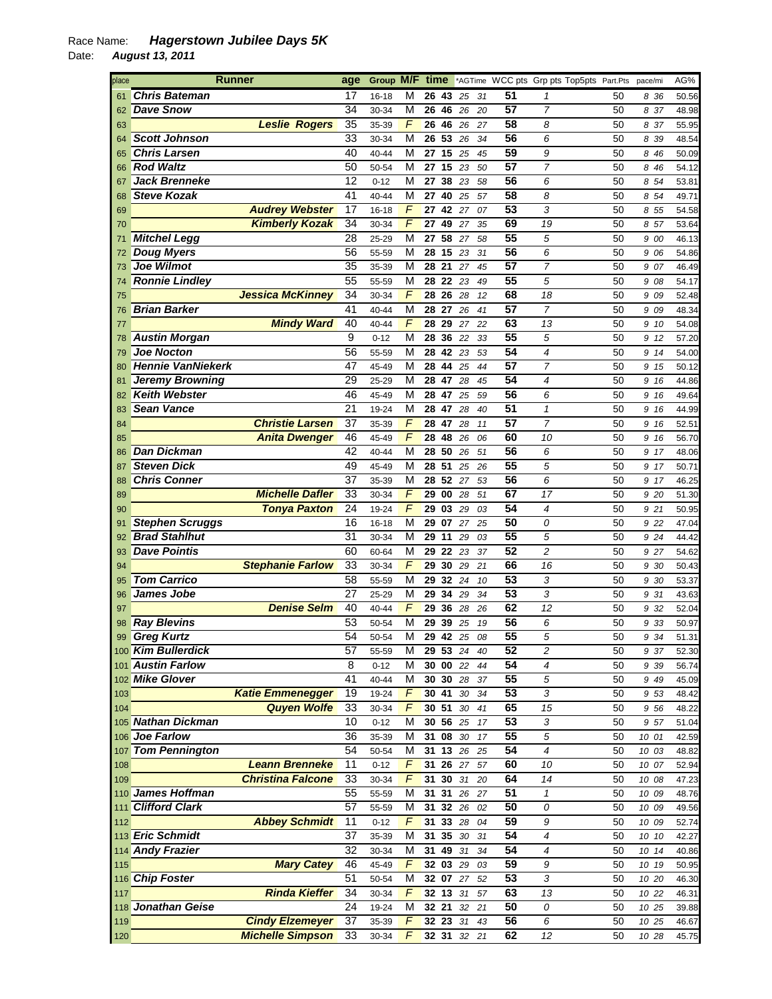## Race Name: *Hagerstown Jubilee Days 5K*

Date: *August 13, 2011* 

| place |                          | <b>Runner</b>            | age             | Group M/F |                | time  |              |        |    |                 | *AGTime WCC pts Grp pts Top5pts Part.Pts |    | pace/mi | AG%   |
|-------|--------------------------|--------------------------|-----------------|-----------|----------------|-------|--------------|--------|----|-----------------|------------------------------------------|----|---------|-------|
| 61    | <b>Chris Bateman</b>     |                          | 17              | $16 - 18$ | М              |       | 26 43        | 25     | 31 | 51              | 1                                        | 50 | 836     | 50.56 |
| 62    | <b>Dave Snow</b>         |                          | 34              | 30-34     | M              | 26    | 46           | 26     | 20 | 57              | $\overline{7}$                           | 50 | 8 37    | 48.98 |
| 63    |                          | <b>Leslie Rogers</b>     | 35              | 35-39     | F              | 26    | 46           | 26     | 27 | 58              | 8                                        | 50 | 8 37    | 55.95 |
| 64    | <b>Scott Johnson</b>     |                          | 33              | 30-34     | M              | 26    | 53           | 26     | 34 | 56              | 6                                        | 50 | 8 39    | 48.54 |
| 65    | <b>Chris Larsen</b>      |                          | 40              | 40-44     | M              | 27    | 15           | 25     | 45 | 59              | 9                                        | 50 | 8 4 6   | 50.09 |
| 66    | <b>Rod Waltz</b>         |                          | 50              | 50-54     | M              |       | 27 15        | 23     | 50 | 57              | $\overline{7}$                           | 50 | 8 4 6   | 54.12 |
| 67    | <b>Jack Brenneke</b>     |                          | 12              | $0 - 12$  | M              | 27    | 38           | 23     | 58 | 56              | 6                                        | 50 | 8 54    | 53.81 |
| 68    | <b>Steve Kozak</b>       |                          | 41              | 40-44     | M              | 27    | 40           | 25     | 57 | 58              | 8                                        | 50 | 8 54    | 49.71 |
| 69    |                          | <b>Audrey Webster</b>    | 17              | $16 - 18$ | F              | 27    | 42           | 27     | 07 | 53              | 3                                        | 50 | 8 55    | 54.58 |
|       |                          |                          | 34              |           | F              |       |              |        |    | 69              |                                          |    |         |       |
| 70    |                          | <b>Kimberly Kozak</b>    |                 | 30-34     |                | 27    | 49           | 27     | 35 |                 | 19                                       | 50 | 8 57    | 53.64 |
| 71    | <b>Mitchel Legg</b>      |                          | $\overline{28}$ | 25-29     | M              | 27    | 58           | 27     | 58 | 55              | 5                                        | 50 | 9 00    | 46.13 |
| 72    | <b>Doug Myers</b>        |                          | 56              | 55-59     | M              | 28    | 15           | 23     | 31 | 56              | 6                                        | 50 | 9 06    | 54.86 |
| 73    | Joe Wilmot               |                          | 35              | 35-39     | M              | 28    | 21           | 27     | 45 | 57              | $\overline{7}$                           | 50 | 9 07    | 46.49 |
| 74    | <b>Ronnie Lindley</b>    |                          | 55              | 55-59     | M              | 28    | 22           | 23     | 49 | 55              | 5                                        | 50 | 9 08    | 54.17 |
| 75    |                          | <b>Jessica McKinney</b>  | 34              | 30-34     | F              | 28    | 26           | 28     | 12 | 68              | 18                                       | 50 | 9 0 9   | 52.48 |
| 76    | <b>Brian Barker</b>      |                          | 41              | 40-44     | M              | 28    | 27           | 26     | 41 | 57              | 7                                        | 50 | 9 0 9   | 48.34 |
| 77    |                          | <b>Mindy Ward</b>        | 40              | 40-44     | F              | 28    | 29           | 27     | 22 | 63              | 13                                       | 50 | 9 10    | 54.08 |
| 78    | <b>Austin Morgan</b>     |                          | 9               | $0 - 12$  | м              | 28    | 36           | 22     | 33 | 55              | 5                                        | 50 | 9 12    | 57.20 |
| 79    | <b>Joe Nocton</b>        |                          | 56              | 55-59     | M              | 28    | 42           | 23     | 53 | 54              | 4                                        | 50 | 9 14    | 54.00 |
| 80    | <b>Hennie VanNiekerk</b> |                          | 47              | 45-49     | М              | 28    | 44           | 25     | 44 | $\overline{57}$ | 7                                        | 50 | 9 15    | 50.12 |
|       |                          |                          | 29              |           | M              |       |              |        |    | 54              | 4                                        |    |         |       |
| 81    | Jeremy Browning          |                          |                 | 25-29     |                | 28    | 47           | 28     | 45 |                 |                                          | 50 | 9 16    | 44.86 |
| 82    | <b>Keith Webster</b>     |                          | 46              | 45-49     | M              | 28    | 47           | 25     | 59 | 56              | 6                                        | 50 | 9 16    | 49.64 |
| 83    | <b>Sean Vance</b>        |                          | 21              | 19-24     | M              | 28    | 47           | 28     | 40 | 51              | $\mathbf{1}$                             | 50 | 9 16    | 44.99 |
| 84    |                          | <b>Christie Larsen</b>   | 37              | 35-39     | F              | 28    | 47           | 28     | 11 | 57              | $\overline{7}$                           | 50 | 9 16    | 52.51 |
| 85    |                          | <b>Anita Dwenger</b>     | 46              | 45-49     | F              | 28    | 48           | 26     | 06 | 60              | 10                                       | 50 | 9 16    | 56.70 |
| 86    | <b>Dan Dickman</b>       |                          | 42              | 40-44     | М              | 28    | 50           | 26     | 51 | 56              | 6                                        | 50 | 9 17    | 48.06 |
| 87    | <b>Steven Dick</b>       |                          | 49              | 45-49     | М              | 28    | 51           | 25     | 26 | 55              | 5                                        | 50 | 9 17    | 50.71 |
| 88    | <b>Chris Conner</b>      |                          | 37              | 35-39     | M              | 28    | 52           | 27     | 53 | 56              | 6                                        | 50 | 9 17    | 46.25 |
| 89    |                          | <b>Michelle Dafler</b>   | 33              | 30-34     | F              | 29    | 00           | 28     | 51 | 67              | 17                                       | 50 | 9 20    | 51.30 |
| 90    |                          | <b>Tonya Paxton</b>      | 24              | 19-24     | F              | 29    | 03           | 29     | 03 | 54              | 4                                        | 50 | 9 21    | 50.95 |
| 91    | <b>Stephen Scruggs</b>   |                          | 16              | 16-18     | M              | 29    | 07           | 27     | 25 | 50              | 0                                        | 50 | 9 22    | 47.04 |
| 92    | <b>Brad Stahlhut</b>     |                          | 31              | 30-34     | M              | 29    | 11           | 29     | 03 | 55              | 5                                        | 50 | 9 24    | 44.42 |
|       | <b>Dave Pointis</b>      |                          | 60              |           | М              | 29    | 22           | 23     |    | 52              | 2                                        | 50 |         |       |
| 93    |                          |                          |                 | 60-64     |                |       |              |        | 37 |                 |                                          |    | 927     | 54.62 |
| 94    |                          | <b>Stephanie Farlow</b>  | 33              | 30-34     | F              | 29    | 30           | 29     | 21 | 66              | 16                                       | 50 | 9 30    | 50.43 |
| 95    | <b>Tom Carrico</b>       |                          | $\overline{58}$ | 55-59     | M              | 29    | 32           | 24     | 10 | 53              | 3                                        | 50 | 9 30    | 53.37 |
| 96    | James Jobe               |                          | 27              | 25-29     | M              | 29    | 34           | 29     | 34 | 53              | 3                                        | 50 | 9 31    | 43.63 |
| 97    |                          | <b>Denise Selm</b>       | 40              | 40-44     | F              | 29    | 36           | 28     | 26 | 62              | 12                                       | 50 | 9 32    | 52.04 |
| 98    | <b>Ray Blevins</b>       |                          | 53              | 50-54     | М              | 29    | 39           | 25     | 19 | 56              | 6                                        | 50 | 9 33    | 50.97 |
|       | 99 Greg Kurtz            |                          | 54              | 50-54     | M              |       | 29 42 25     |        | 08 | $\overline{55}$ | 5                                        | 50 | 9 3 4   | 51.31 |
|       | 100 Kim Bullerdick       |                          | 57              | 55-59     | м              |       | 29 53 24     |        | 40 | 52              | 2                                        | 50 | 9 37    | 52.30 |
|       | 101 Austin Farlow        |                          | 8               | $0 - 12$  | M              |       | 30 00 22     |        | 44 | 54              | 4                                        | 50 | 9 3 9   | 56.74 |
|       | 102 Mike Glover          |                          | 41              | 40-44     | M              |       | 30 30 28     |        | 37 | 55              | 5                                        | 50 | 9 4 9   | 45.09 |
| 103   |                          | <b>Katie Emmenegger</b>  | 19              | 19-24     | F              | 30 41 |              | 30     | 34 | 53              | 3                                        | 50 | 9 53    | 48.42 |
| 104   |                          | <b>Quyen Wolfe</b>       | 33              | 30-34     | F              | 30 51 |              | $30\,$ | 41 | 65              | 15                                       | 50 | 9 56    | 48.22 |
|       | 105 Nathan Dickman       |                          | 10              | $0 - 12$  | M              |       | 30 56 25     |        | 17 | 53              | 3                                        | 50 | 9 57    | 51.04 |
|       | 106 Joe Farlow           |                          | 36              |           | M              |       | 31 08        | 30     | 17 | 55              | 5                                        | 50 |         |       |
|       |                          |                          |                 | 35-39     |                |       |              |        |    |                 |                                          |    | 10 01   | 42.59 |
|       | 107 Tom Pennington       |                          | 54              | 50-54     | М              |       | 31 13        | 26     | 25 | $\overline{54}$ | 4                                        | 50 | 10 03   | 48.82 |
| 108   |                          | <b>Leann Brenneke</b>    | 11              | $0 - 12$  | F              |       | 31 26 27     |        | 57 | 60              | 10                                       | 50 | 10 07   | 52.94 |
| 109   |                          | <b>Christina Falcone</b> | 33              | 30-34     | $\overline{F}$ |       | $31$ 30 $31$ |        | 20 | 64              | 14                                       | 50 | 10 08   | 47.23 |
|       | 110 James Hoffman        |                          | 55              | 55-59     | М              | 31    |              | 31 26  | 27 | 51              | 1                                        | 50 | 10 09   | 48.76 |
|       | <b>Clifford Clark</b>    |                          | $\overline{57}$ | 55-59     | М              |       | 31 32 26     |        | 02 | 50              | 0                                        | 50 | 10 09   | 49.56 |
| 112   |                          | <b>Abbey Schmidt</b>     | 11              | $0 - 12$  | F              |       | 31 33 28     |        | 04 | 59              | 9                                        | 50 | 10 09   | 52.74 |
|       | 113 Eric Schmidt         |                          | $\overline{37}$ | 35-39     | M              | 31    |              | 35 30  | 31 | 54              | 4                                        | 50 | 10 10   | 42.27 |
|       | 114 Andy Frazier         |                          | 32              | 30-34     | M              | 31    | 49 31        |        | 34 | 54              | 4                                        | 50 | 10 14   | 40.86 |
| 115   |                          | <b>Mary Catey</b>        | 46              | 45-49     | F              |       | 32 03        | 29     | 03 | 59              | 9                                        | 50 | 10 19   | 50.95 |
|       | 116 Chip Foster          |                          | 51              | 50-54     | M              |       | 32 07 27     |        | 52 | 53              | 3                                        | 50 | 10 20   | 46.30 |
| 117   |                          | <b>Rinda Kieffer</b>     | 34              | 30-34     | F              |       | 32 13 31     |        | 57 | 63              | 13                                       | 50 | 10 22   | 46.31 |
|       | 118 Jonathan Geise       |                          | 24              | 19-24     | M              |       | 32 21        |        |    | 50              | 0                                        |    |         |       |
|       |                          |                          |                 |           |                |       |              | 32     | 21 |                 |                                          | 50 | 10 25   | 39.88 |
| 119   |                          | <b>Cindy Elzemeyer</b>   | 37              | 35-39     | F              |       | 32 23 31     |        | 43 | 56              | 6                                        | 50 | 10 25   | 46.67 |
| 120   |                          | <b>Michelle Simpson</b>  | 33              | 30-34     | F              |       | 32 31 32 21  |        |    | 62              | 12                                       | 50 | 10 28   | 45.75 |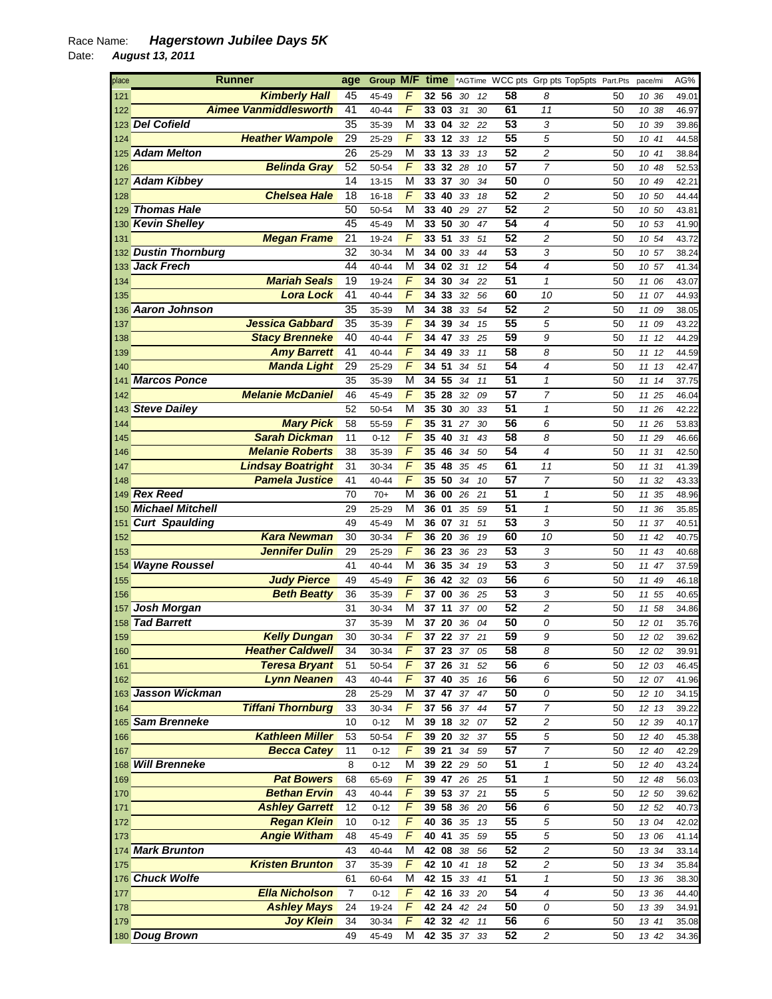## Race Name: *Hagerstown Jubilee Days 5K*  Date: *August 13, 2011*